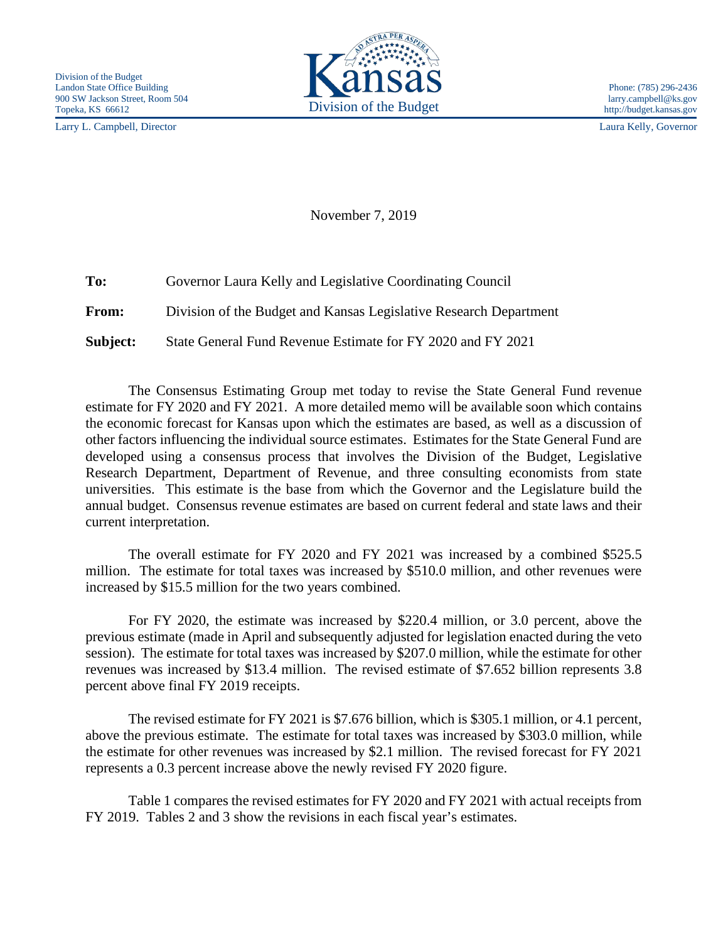Larry L. Campbell, Director Laura Kelly, Governor



November 7, 2019

**To:** Governor Laura Kelly and Legislative Coordinating Council **From:** Division of the Budget and Kansas Legislative Research Department **Subject:** State General Fund Revenue Estimate for FY 2020 and FY 2021

The Consensus Estimating Group met today to revise the State General Fund revenue estimate for FY 2020 and FY 2021. A more detailed memo will be available soon which contains the economic forecast for Kansas upon which the estimates are based, as well as a discussion of other factors influencing the individual source estimates. Estimates for the State General Fund are developed using a consensus process that involves the Division of the Budget, Legislative Research Department, Department of Revenue, and three consulting economists from state universities. This estimate is the base from which the Governor and the Legislature build the annual budget. Consensus revenue estimates are based on current federal and state laws and their current interpretation.

The overall estimate for FY 2020 and FY 2021 was increased by a combined \$525.5 million. The estimate for total taxes was increased by \$510.0 million, and other revenues were increased by \$15.5 million for the two years combined.

For FY 2020, the estimate was increased by \$220.4 million, or 3.0 percent, above the previous estimate (made in April and subsequently adjusted for legislation enacted during the veto session). The estimate for total taxes was increased by \$207.0 million, while the estimate for other revenues was increased by \$13.4 million. The revised estimate of \$7.652 billion represents 3.8 percent above final FY 2019 receipts.

The revised estimate for FY 2021 is \$7.676 billion, which is \$305.1 million, or 4.1 percent, above the previous estimate. The estimate for total taxes was increased by \$303.0 million, while the estimate for other revenues was increased by \$2.1 million. The revised forecast for FY 2021 represents a 0.3 percent increase above the newly revised FY 2020 figure.

Table 1 compares the revised estimates for FY 2020 and FY 2021 with actual receipts from FY 2019. Tables 2 and 3 show the revisions in each fiscal year's estimates.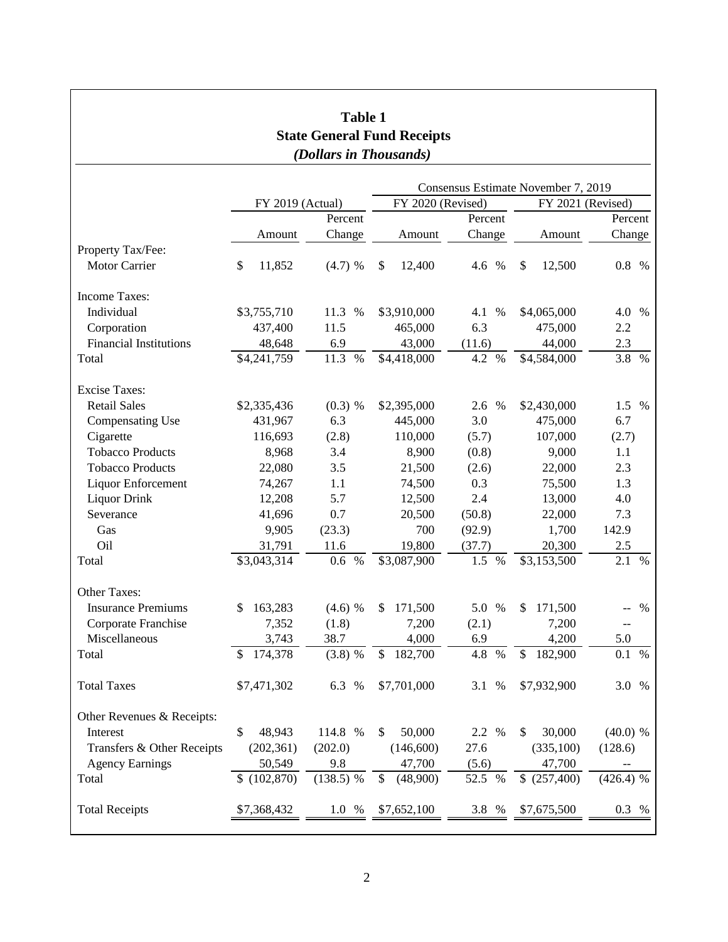| <b>Table 1</b>                                               |                  |              |                                     |             |                   |             |  |  |  |  |
|--------------------------------------------------------------|------------------|--------------|-------------------------------------|-------------|-------------------|-------------|--|--|--|--|
| <b>State General Fund Receipts</b><br>(Dollars in Thousands) |                  |              |                                     |             |                   |             |  |  |  |  |
|                                                              |                  |              |                                     |             |                   |             |  |  |  |  |
|                                                              |                  |              | Consensus Estimate November 7, 2019 |             |                   |             |  |  |  |  |
|                                                              | FY 2019 (Actual) |              | FY 2020 (Revised)                   |             | FY 2021 (Revised) |             |  |  |  |  |
|                                                              |                  | Percent      |                                     | Percent     |                   | Percent     |  |  |  |  |
|                                                              | Amount           | Change       | Amount                              | Change      | Amount            | Change      |  |  |  |  |
| Property Tax/Fee:                                            |                  |              |                                     |             |                   |             |  |  |  |  |
| <b>Motor Carrier</b>                                         | \$<br>11,852     | (4.7) %      | \$<br>12,400                        | $\%$<br>4.6 | \$<br>12,500      | 0.8 %       |  |  |  |  |
| Income Taxes:                                                |                  |              |                                     |             |                   |             |  |  |  |  |
| Individual                                                   | \$3,755,710      | 11.3 %       | \$3,910,000                         | 4.1 %       | \$4,065,000       | 4.0 %       |  |  |  |  |
| Corporation                                                  | 437,400          | 11.5         | 465,000                             | 6.3         | 475,000           | 2.2         |  |  |  |  |
| <b>Financial Institutions</b>                                | 48,648           | 6.9          | 43,000                              | (11.6)      | 44,000            | 2.3         |  |  |  |  |
| Total                                                        | \$4,241,759      | 11.3<br>$\%$ | \$4,418,000                         | 4.2 %       | \$4,584,000       | 3.8 %       |  |  |  |  |
| <b>Excise Taxes:</b>                                         |                  |              |                                     |             |                   |             |  |  |  |  |
| <b>Retail Sales</b>                                          | \$2,335,436      | $(0.3)$ %    | \$2,395,000                         | 2.6 %       | \$2,430,000       | 1.5 %       |  |  |  |  |
| <b>Compensating Use</b>                                      | 431,967          | 6.3          | 445,000                             | 3.0         | 475,000           | 6.7         |  |  |  |  |
| Cigarette                                                    | 116,693          | (2.8)        | 110,000                             | (5.7)       | 107,000           | (2.7)       |  |  |  |  |
| <b>Tobacco Products</b>                                      | 8,968            | 3.4          | 8,900                               | (0.8)       | 9,000             | 1.1         |  |  |  |  |
| <b>Tobacco Products</b>                                      | 22,080           | 3.5          | 21,500                              | (2.6)       | 22,000            | 2.3         |  |  |  |  |
| Liquor Enforcement                                           | 74,267           | 1.1          | 74,500                              | 0.3         | 75,500            | 1.3         |  |  |  |  |
| <b>Liquor Drink</b>                                          | 12,208           | 5.7          | 12,500                              | 2.4         | 13,000            | 4.0         |  |  |  |  |
| Severance                                                    | 41,696           | 0.7          | 20,500                              | (50.8)      | 22,000            | 7.3         |  |  |  |  |
| Gas                                                          | 9,905            | (23.3)       | 700                                 | (92.9)      | 1,700             | 142.9       |  |  |  |  |
| Oil                                                          | 31,791           | 11.6         | 19,800                              | (37.7)      | 20,300            | 2.5         |  |  |  |  |
| Total                                                        | \$3,043,314      | $\%$<br>0.6  | \$3,087,900                         | 1.5<br>$\%$ | \$3,153,500       | 2.1<br>%    |  |  |  |  |
| Other Taxes:                                                 |                  |              |                                     |             |                   |             |  |  |  |  |
| <b>Insurance Premiums</b>                                    | 163,283<br>\$    | $(4.6)$ %    | 171,500<br>\$                       | 5.0 %       | 171,500<br>\$     | %           |  |  |  |  |
| Corporate Franchise                                          | 7,352            | (1.8)        | 7,200                               | (2.1)       | 7,200             | $-\,-$      |  |  |  |  |
| Miscellaneous                                                | 3,743            | 38.7         | 4,000                               | 6.9         | 4,200             | 5.0         |  |  |  |  |
| Total                                                        | 174,378<br>\$    | $(3.8)$ %    | 182,700<br>\$                       | 4.8 %       | \$<br>182,900     | 0.1 %       |  |  |  |  |
| <b>Total Taxes</b>                                           | \$7,471,302      | 6.3 %        | \$7,701,000                         | 3.1 %       | \$7,932,900       | 3.0 %       |  |  |  |  |
| Other Revenues & Receipts:                                   |                  |              |                                     |             |                   |             |  |  |  |  |
| Interest                                                     | \$<br>48,943     | 114.8 %      | 50,000<br>\$                        | 2.2 %       | 30,000<br>\$      | (40.0) %    |  |  |  |  |
| Transfers & Other Receipts                                   | (202, 361)       | (202.0)      | (146, 600)                          | 27.6        | (335,100)         | (128.6)     |  |  |  |  |
| <b>Agency Earnings</b>                                       | 50,549           | 9.8          | 47,700                              | (5.6)       | 47,700            |             |  |  |  |  |
| Total                                                        | (102, 870)<br>\$ | $(138.5)$ %  | \$<br>(48,900)                      | 52.5 %      | \$(257,400)       | $(426.4)$ % |  |  |  |  |
| <b>Total Receipts</b>                                        | \$7,368,432      | 1.0%         | \$7,652,100                         | 3.8 %       | \$7,675,500       | 0.3 %       |  |  |  |  |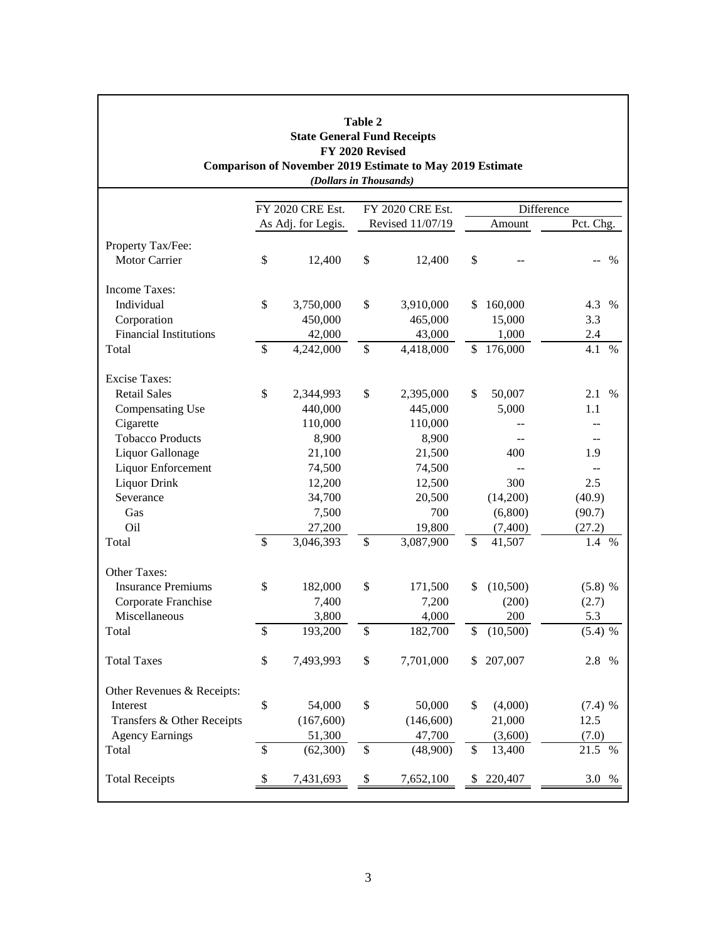|                                             |                    | <b>State General Fund Receipts</b><br>FY 2020 Revised<br>(Dollars in Thousands) | <b>Table 2</b>   | <b>Comparison of November 2019 Estimate to May 2019 Estimate</b> |        |                |             |  |  |
|---------------------------------------------|--------------------|---------------------------------------------------------------------------------|------------------|------------------------------------------------------------------|--------|----------------|-------------|--|--|
|                                             |                    | FY 2020 CRE Est.                                                                | FY 2020 CRE Est. |                                                                  |        | Difference     |             |  |  |
|                                             | As Adj. for Legis. |                                                                                 | Revised 11/07/19 |                                                                  | Amount |                | Pct. Chg.   |  |  |
|                                             |                    |                                                                                 |                  |                                                                  |        |                |             |  |  |
| Property Tax/Fee:                           |                    |                                                                                 |                  |                                                                  |        |                |             |  |  |
| <b>Motor Carrier</b>                        | \$                 | 12,400                                                                          | \$               | 12,400                                                           | \$     |                | %           |  |  |
| <b>Income Taxes:</b>                        |                    |                                                                                 |                  |                                                                  |        |                |             |  |  |
| Individual                                  | \$                 | 3,750,000                                                                       | \$               | 3,910,000                                                        | \$     | 160,000        | 4.3<br>$\%$ |  |  |
| Corporation                                 |                    | 450,000                                                                         |                  | 465,000                                                          |        | 15,000         | 3.3         |  |  |
| <b>Financial Institutions</b>               |                    | 42,000                                                                          |                  | 43,000                                                           |        | 1,000          | 2.4         |  |  |
| Total                                       | \$                 | 4,242,000                                                                       | $\mathcal{S}$    | 4,418,000                                                        | \$     | 176,000        | 4.1<br>$\%$ |  |  |
|                                             |                    |                                                                                 |                  |                                                                  |        |                |             |  |  |
| <b>Excise Taxes:</b><br><b>Retail Sales</b> | \$                 |                                                                                 | \$               | 2,395,000                                                        | \$     | 50,007         |             |  |  |
|                                             |                    | 2,344,993                                                                       |                  | 445,000                                                          |        |                | 2.1 %       |  |  |
| Compensating Use                            |                    | 440,000                                                                         |                  |                                                                  |        | 5,000          | 1.1         |  |  |
| Cigarette                                   |                    | 110,000                                                                         |                  | 110,000                                                          |        |                |             |  |  |
| <b>Tobacco Products</b>                     |                    | 8,900                                                                           |                  | 8,900                                                            |        |                |             |  |  |
| Liquor Gallonage                            |                    | 21,100                                                                          |                  | 21,500                                                           |        | 400            | 1.9         |  |  |
| Liquor Enforcement                          |                    | 74,500                                                                          |                  | 74,500                                                           |        | $\overline{a}$ |             |  |  |
| Liquor Drink                                |                    | 12,200                                                                          |                  | 12,500                                                           |        | 300            | 2.5         |  |  |
| Severance                                   |                    | 34,700                                                                          |                  | 20,500                                                           |        | (14,200)       | (40.9)      |  |  |
| Gas                                         |                    | 7,500                                                                           |                  | 700                                                              |        | (6,800)        | (90.7)      |  |  |
| Oil                                         |                    | 27,200                                                                          |                  | 19,800                                                           |        | (7,400)        | (27.2)      |  |  |
| Total                                       | \$                 | 3,046,393                                                                       | \$               | 3,087,900                                                        | \$     | 41,507         | 1.4<br>$\%$ |  |  |
| Other Taxes:                                |                    |                                                                                 |                  |                                                                  |        |                |             |  |  |
| <b>Insurance Premiums</b>                   | \$                 | 182,000                                                                         | \$               | 171,500                                                          | \$     | (10,500)       | (5.8) %     |  |  |
| Corporate Franchise                         |                    | 7,400                                                                           |                  | 7,200                                                            |        | (200)          | (2.7)       |  |  |
| Miscellaneous                               |                    | 3,800                                                                           |                  | 4,000                                                            |        | 200            | 5.3         |  |  |
| Total                                       | \$                 | 193,200                                                                         | \$               | 182,700                                                          | \$     | (10,500)       | (5.4) %     |  |  |
| <b>Total Taxes</b>                          | \$                 | 7,493,993                                                                       | \$               | 7,701,000                                                        | \$     | 207,007        | 2.8 %       |  |  |
| Other Revenues & Receipts:                  |                    |                                                                                 |                  |                                                                  |        |                |             |  |  |
| Interest                                    | \$                 | 54,000                                                                          | \$               | 50,000                                                           | \$     | (4,000)        | $(7.4)$ %   |  |  |
| Transfers & Other Receipts                  |                    | (167, 600)                                                                      |                  | (146, 600)                                                       |        | 21,000         | 12.5        |  |  |
| <b>Agency Earnings</b>                      |                    | 51,300                                                                          |                  | 47,700                                                           |        | (3,600)        | (7.0)       |  |  |
| Total                                       | \$                 | (62,300)                                                                        | \$               | (48,900)                                                         | \$     | 13,400         | 21.5 %      |  |  |
| <b>Total Receipts</b>                       |                    | 7,431,693                                                                       | \$               | 7,652,100                                                        | \$     | 220,407        | 3.0 %       |  |  |